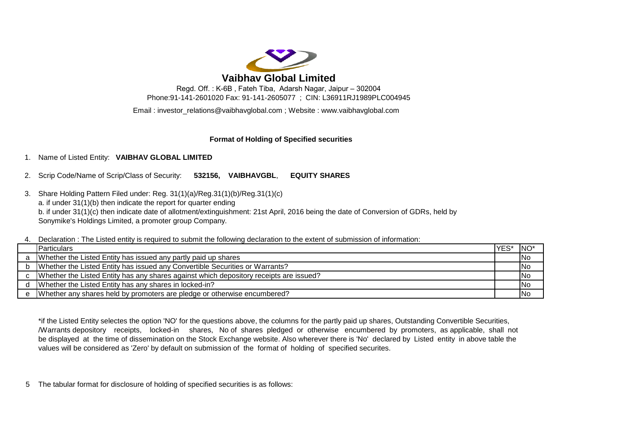

Regd. Off. : K-6B , Fateh Tiba, Adarsh Nagar, Jaipur – 302004 Phone:91-141-2601020 Fax: 91-141-2605077 ; CIN: L36911RJ1989PLC004945

Email : investor\_relations@vaibhavglobal.com ; Website : www.vaibhavglobal.com

## **Format of Holding of Specified securities**

# 1. Name of Listed Entity: **VAIBHAV GLOBAL LIMITED**

2. Scrip Code/Name of Scrip/Class of Security: **532156, VAIBHAVGBL**, **EQUITY SHARES** 

3. Share Holding Pattern Filed under: Reg. 31(1)(a)/Reg.31(1)(b)/Reg.31(1)(c) a. if under 31(1)(b) then indicate the report for quarter ending b. if under 31(1)(c) then indicate date of allotment/extinguishment: 21st April, 2016 being the date of Conversion of GDRs, held by Sonymike's Holdings Limited, a promoter group Company.

4. Declaration : The Listed entity is required to submit the following declaration to the extent of submission of information:

|   | <b>IParticulars</b>                                                                      | YES | $NO*$                    |
|---|------------------------------------------------------------------------------------------|-----|--------------------------|
|   | a Whether the Listed Entity has issued any partly paid up shares                         |     | <b>No</b>                |
|   | b Whether the Listed Entity has issued any Convertible Securities or Warrants?           |     | <b>No</b>                |
|   | c Whether the Listed Entity has any shares against which depository receipts are issued? |     | <b>No</b>                |
| d | Whether the Listed Entity has any shares in locked-in?                                   |     | $\overline{\mathsf{No}}$ |
| e | Whether any shares held by promoters are pledge or otherwise encumbered?                 |     | <b>No</b>                |

be displayed at the time of dissemination on the Stock Exchange website. Also wherever there is 'No' declared by Listed entity in above table the values will be considered as 'Zero' by default on submission of the format of holding of specified securites. \*if the Listed Entity selectes the option 'NO' for the questions above, the columns for the partly paid up shares, Outstanding Convertible Securities, /Warrants depository receipts, locked-in shares, No of shares pledged or otherwise encumbered by promoters, as applicable, shall not

5 The tabular format for disclosure of holding of specified securities is as follows: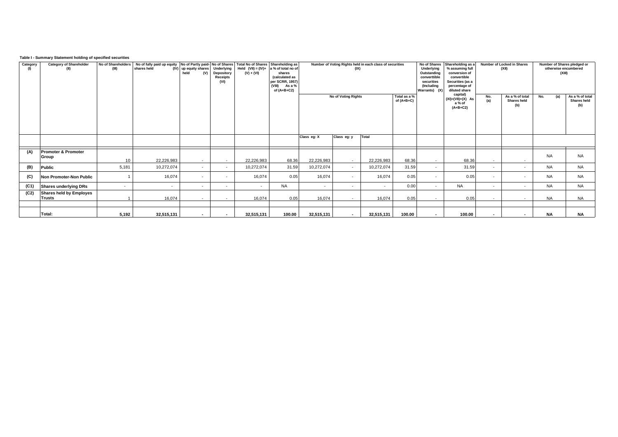## **Table I - Summary Statement holding of specified securities**

| Category<br>(1) | <b>Category of Shareholder</b><br>(II)   | No of Shareholders<br>(III) | No of fully paid up equity No of Partly paid- No of Shares   Total No of Shares   Shareholding as<br>shares held | (IV) up equity shares Underlying<br>held<br>(V) | Depository<br>Receipts<br>(VI) | Held $(VII) = (IV) + a$ % of total no of<br>$(V) + (VI)$ | shares<br>(calculated as<br>per SCRR, 1957)<br>(VIII)<br>As a %<br>of $(A+B+C2)$ | Number of Voting Rights held in each class of securities<br>(IX) |                     |            |                              | No of Shares<br>Underlying<br>Outstanding<br>converttible<br>securities<br>(Including<br>Warrants) (X) | Shareholding as a<br>% assuming full<br>conversion of<br>convertible<br>Securities (as a<br>percentage of<br>diluted share<br>capital) | Number of Locked in Shares<br>(XII)                 | Number of Shares pledged or<br>otherwise encumbered<br>(XIII) |                                       |
|-----------------|------------------------------------------|-----------------------------|------------------------------------------------------------------------------------------------------------------|-------------------------------------------------|--------------------------------|----------------------------------------------------------|----------------------------------------------------------------------------------|------------------------------------------------------------------|---------------------|------------|------------------------------|--------------------------------------------------------------------------------------------------------|----------------------------------------------------------------------------------------------------------------------------------------|-----------------------------------------------------|---------------------------------------------------------------|---------------------------------------|
|                 |                                          |                             |                                                                                                                  |                                                 |                                |                                                          |                                                                                  |                                                                  | No of Voting Rights |            | Total as a %<br>of $(A+B+C)$ |                                                                                                        | $(XI) = (VII) + (X)$ As<br>a % of<br>$(A+B+C2)$                                                                                        | As a % of total<br>No.<br>(a)<br>Shares held<br>(b) | No.<br>(a)                                                    | As a % of total<br>Shares held<br>(b) |
|                 |                                          |                             |                                                                                                                  |                                                 |                                |                                                          |                                                                                  | Class eg: X                                                      | Class eg: y         | Total      |                              |                                                                                                        |                                                                                                                                        |                                                     |                                                               |                                       |
| (A)             | Promoter & Promoter<br>Group             | 10                          | 22,226,983                                                                                                       | $\sim$                                          | $\sim$                         | 22,226,983                                               | 68.36                                                                            | 22,226,983                                                       | $\sim$              | 22,226,983 | 68.36                        | $\sim$                                                                                                 | 68.36                                                                                                                                  | $\sim$<br>$\sim$                                    | <b>NA</b>                                                     | <b>NA</b>                             |
| (B)             | Public                                   | 5,181                       | 10,272,074                                                                                                       | $\sim$                                          | $\overline{a}$                 | 10,272,074                                               | 31.59                                                                            | 10,272,074                                                       | $\sim$              | 10,272,074 | 31.59                        | $\sim$                                                                                                 | 31.59                                                                                                                                  | $\sim$<br>$\sim$                                    | <b>NA</b>                                                     | <b>NA</b>                             |
| (C)             | Non Promoter-Non Public                  |                             | 16,074                                                                                                           |                                                 |                                | 16,074                                                   | 0.05                                                                             | 16,074                                                           | $\sim$              | 16,074     | 0.05                         | $\sim$                                                                                                 | 0.05                                                                                                                                   | $\overline{\phantom{a}}$<br>$\sim$                  | <b>NA</b>                                                     | <b>NA</b>                             |
| (C1)            | Shares underlying DRs                    |                             | $\sim$                                                                                                           | $\sim$                                          | $\overline{\phantom{a}}$       | $\sim$                                                   | <b>NA</b>                                                                        | $\sim$                                                           | $\sim$              | $\sim$     | 0.00                         | $\sim$                                                                                                 | <b>NA</b>                                                                                                                              | $\sim$<br>$\sim$                                    | <b>NA</b>                                                     | <b>NA</b>                             |
| (C2)            | <b>Shares held by Employes</b><br>Trusts |                             | 16,074                                                                                                           | $\sim$                                          | $\sim$                         | 16.074                                                   | 0.05                                                                             | 16,074                                                           | $\sim$              | 16,074     | 0.05                         | $\sim$                                                                                                 | 0.05                                                                                                                                   | $\sim$<br>$\sim$                                    | <b>NA</b>                                                     | <b>NA</b>                             |
|                 | Total:                                   | 5,192                       | 32,515,131                                                                                                       | $\sim$                                          | $\sim$                         | 32,515,131                                               | 100.00                                                                           | 32,515,131                                                       | $\sim$              | 32,515,131 | 100.00                       | $\sim$                                                                                                 | 100.00                                                                                                                                 | $\sim$<br>$\sim$                                    | <b>NA</b>                                                     | <b>NA</b>                             |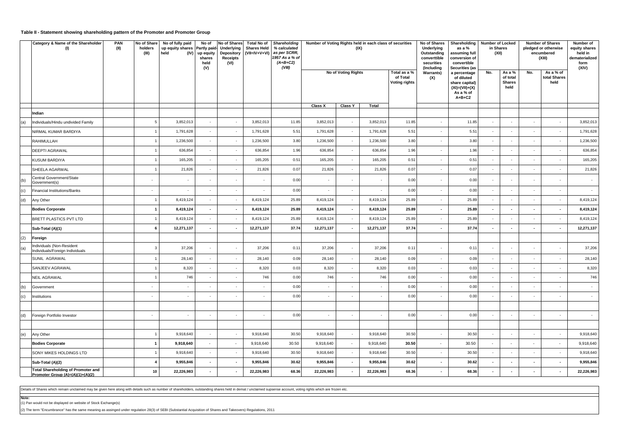#### **Table II - Statement showing shareholding pattern of the Promoter and Promoter Group**

|     | Category & Name of the Shareholder<br>(1)                                       | PAN<br>(II) | No of Share<br>holders<br>(III) | No of fully paid<br>up equity shares Partly paid- Underlying<br>held | No of<br>(IV) up equity<br>shares<br>held<br>(V)     | No of Shares<br>Receipts<br>(VI) | <b>Total No of</b><br><b>Shares Held</b><br>Depository (VII=IV+V+VI) | Shareholding<br>% calculated<br>as per SCRR,<br>1957 As a % of<br>$(A+B+C2)$<br>(VIII) | Number of Voting Rights held in each class of securities | (IX)                     |                          |                                                  | No of Shares<br>Underlying<br>Outstanding<br>converttible<br>securities<br>(Including | Shareholding<br>as a %<br>assuming full<br>conversion of<br>convertible<br>Securities (as     |                                                      | <b>Number of Locked</b><br>in Shares<br>(XII) |                             | <b>Number of Shares</b><br>pledged or otherwise<br>encumbered<br>(XIII) | Number of<br>equity shares<br>held in<br>dematerialized<br>form<br>(XIV) |
|-----|---------------------------------------------------------------------------------|-------------|---------------------------------|----------------------------------------------------------------------|------------------------------------------------------|----------------------------------|----------------------------------------------------------------------|----------------------------------------------------------------------------------------|----------------------------------------------------------|--------------------------|--------------------------|--------------------------------------------------|---------------------------------------------------------------------------------------|-----------------------------------------------------------------------------------------------|------------------------------------------------------|-----------------------------------------------|-----------------------------|-------------------------------------------------------------------------|--------------------------------------------------------------------------|
|     |                                                                                 |             |                                 |                                                                      |                                                      |                                  |                                                                      |                                                                                        |                                                          | No of Voting Rights      |                          | Total as a %<br>of Total<br><b>Voting rights</b> | <b>Warrants)</b><br>(X)                                                               | a percentage<br>of diluted<br>share capital)<br>$(XI) = (VII) + (X)$<br>As a % of<br>$A+B+C2$ | No.                                                  | As a %<br>of total<br><b>Shares</b><br>held   | No.                         | As a % of<br>total Shares<br>held                                       |                                                                          |
|     |                                                                                 |             |                                 |                                                                      |                                                      |                                  |                                                                      |                                                                                        | Class X                                                  | <b>Class Y</b>           | Total                    |                                                  |                                                                                       |                                                                                               |                                                      |                                               |                             |                                                                         |                                                                          |
|     | Indian                                                                          |             | $\overline{5}$                  | 3,852,013                                                            |                                                      |                                  | 3,852,013                                                            | 11.85                                                                                  | 3,852,013                                                |                          | 3,852,013                | 11.85                                            |                                                                                       | 11.85                                                                                         |                                                      |                                               |                             |                                                                         | 3,852,013                                                                |
| (a) | Individuals/Hindu undivided Family<br>NIRMAL KUMAR BARDIYA                      |             | $\overline{1}$                  | 1,791,628                                                            | $\overline{\phantom{a}}$<br>$\overline{\phantom{a}}$ | $\sim$<br>$\cdot$                | 1,791,628                                                            | 5.51                                                                                   | 1,791,628                                                | $\sim$<br>$\sim$         | 1,791,628                | 5.51                                             | $\cdot$<br>$\sim$                                                                     | 5.51                                                                                          | $\overline{\phantom{a}}$<br>$\overline{\phantom{a}}$ | $\sim$                                        | $\cdot$<br>$\cdot$          | $\sim$<br>$\sim$                                                        | 1,791,628                                                                |
|     | RAHIMULLAH                                                                      |             | $\overline{1}$                  | 1,236,500                                                            | $\sim$                                               | $\sim$                           | 1,236,500                                                            | 3.80                                                                                   | 1,236,500                                                | $\sim$                   | 1,236,500                | 3.80                                             | $\sim$                                                                                | 3.80                                                                                          | $\sim$                                               | $\overline{\phantom{a}}$                      | $\mathcal{L}_{\mathcal{A}}$ | $\sim$                                                                  | 1,236,500                                                                |
|     | DEEPTI AGRAWAL                                                                  |             |                                 | 636,854                                                              | ÷,                                                   | $\sim$                           | 636,854                                                              | 1.96                                                                                   | 636,854                                                  | $\sim$                   | 636,854                  | 1.96                                             | $\overline{\phantom{a}}$                                                              | 1.96                                                                                          | ٠                                                    |                                               | $\sim$                      | $\mathcal{L}_{\mathcal{A}}$                                             | 636,854                                                                  |
|     | <b>KUSUM BARDIYA</b>                                                            |             |                                 | 165,205                                                              |                                                      | $\sim$                           | 165,205                                                              | 0.51                                                                                   | 165,205                                                  | $\sim$                   | 165,205                  | 0.51                                             | $\overline{\phantom{a}}$                                                              | 0.51                                                                                          |                                                      |                                               | $\overline{\phantom{a}}$    | $\sim$                                                                  | 165,205                                                                  |
|     | SHEELA AGARWAL                                                                  |             | $\overline{1}$                  | 21,826                                                               | $\overline{\phantom{a}}$                             | $\sim$                           | 21,826                                                               | 0.07                                                                                   | 21,826                                                   | $\sim$                   | 21,826                   | 0.07                                             | $\sim$                                                                                | 0.07                                                                                          | $\sim$                                               |                                               | $\mathcal{L}_{\mathcal{A}}$ | $\sim$                                                                  | 21,826                                                                   |
| (b) | Central Government/State                                                        |             |                                 |                                                                      |                                                      |                                  |                                                                      | 0.00                                                                                   | $\overline{\phantom{a}}$                                 |                          |                          | 0.00                                             | $\overline{\phantom{a}}$                                                              | 0.00                                                                                          |                                                      |                                               | ÷,                          | $\overline{\phantom{a}}$                                                |                                                                          |
| (c) | Government(s)<br><b>Financial Institutions/Banks</b>                            |             | $\overline{\phantom{a}}$        |                                                                      | $\overline{\phantom{a}}$                             | $\cdot$                          | $\overline{\phantom{a}}$                                             | 0.00                                                                                   | $\sim$                                                   | $\sim$                   | $\overline{\phantom{a}}$ | 0.00                                             | $\sim$                                                                                | 0.00                                                                                          | $\mathcal{L}_{\mathcal{A}}$                          | $\overline{\phantom{a}}$                      | $\overline{\phantom{a}}$    | $\sim$                                                                  | $\sim$                                                                   |
| (d) | Any Other                                                                       |             | $\overline{1}$                  | 8,419,124                                                            | $\sim$                                               | $\sim$                           | 8,419,124                                                            | 25.89                                                                                  | 8,419,124                                                | $\sim$                   | 8,419,124                | 25.89                                            | $\sim$                                                                                | 25.89                                                                                         | ÷                                                    |                                               | $\sim$                      | $\sim$                                                                  | 8,419,124                                                                |
|     | <b>Bodies Corporate</b>                                                         |             | $\overline{1}$                  | 8,419,124                                                            | $\sim$                                               |                                  | 8,419,124                                                            | 25.89                                                                                  | 8,419,124                                                | $\overline{\phantom{a}}$ | 8,419,124                | 25.89                                            | $\blacksquare$                                                                        | 25.89                                                                                         |                                                      |                                               | $\sim$                      | $\sim$                                                                  | 8,419,124                                                                |
|     | <b>BRETT PLASTICS PVT LTD</b>                                                   |             | $\overline{1}$                  | 8,419,124                                                            | $\overline{\phantom{a}}$                             | $\sim$                           | 8,419,124                                                            | 25.89                                                                                  | 8,419,124                                                | $\sim$                   | 8,419,124                | 25.89                                            | $\sim$                                                                                | 25.89                                                                                         | ٠                                                    |                                               | $\cdot$                     | $\sim$                                                                  | 8,419,124                                                                |
|     | Sub-Total (A)(1)                                                                |             | 6                               | 12,271,137                                                           | $\blacksquare$                                       |                                  | 12,271,137                                                           | 37.74                                                                                  | 12,271,137                                               |                          | 12,271,137               | 37.74                                            | $\blacksquare$                                                                        | 37.74                                                                                         | $\blacksquare$                                       |                                               | $\sim$                      | $\sim$                                                                  | 12,271,137                                                               |
| (2) | Foreign                                                                         |             |                                 |                                                                      |                                                      |                                  |                                                                      |                                                                                        |                                                          |                          |                          |                                                  |                                                                                       |                                                                                               |                                                      |                                               |                             |                                                                         |                                                                          |
| (a) | Individuals (Non-Resident<br>Individuals/Foreign Individuals                    |             | $\mathbf{3}$                    | 37,206                                                               |                                                      | $\sim$                           | 37,206                                                               | 0.11                                                                                   | 37,206                                                   | $\sim$                   | 37,206                   | 0.11                                             | $\overline{\phantom{a}}$                                                              | 0.11                                                                                          |                                                      |                                               | $\overline{\phantom{a}}$    | $\overline{\phantom{a}}$                                                | 37,206                                                                   |
|     | SUNIL AGRAWAL                                                                   |             | $\overline{1}$                  | 28,140                                                               | $\mathcal{L}_{\mathcal{A}}$                          | $\sim$                           | 28,140                                                               | 0.09                                                                                   | 28,140                                                   | $\sim$                   | 28,140                   | 0.09                                             | $\sim$                                                                                | 0.09                                                                                          | $\sim$                                               |                                               | $\mathcal{L}$               | $\sim$                                                                  | 28,140                                                                   |
|     | SANJEEV AGRAWAL                                                                 |             | $\overline{1}$                  | 8,320                                                                |                                                      | $\sim$                           | 8,320                                                                | 0.03                                                                                   | 8,320                                                    |                          | 8,320                    | 0.03                                             | $\sim$                                                                                | 0.03                                                                                          |                                                      |                                               | $\overline{\phantom{a}}$    | $\overline{\phantom{a}}$                                                | 8,320                                                                    |
|     | NEIL AGRAWAL                                                                    |             | $\overline{1}$                  | 746                                                                  | $\sim$                                               | $\sim$                           | 746                                                                  | 0.00                                                                                   | 746                                                      | $\sim$                   | 746                      | 0.00                                             | $\sim$                                                                                | 0.00                                                                                          | $\overline{\phantom{a}}$                             |                                               | $\overline{\phantom{a}}$    | $\sim$                                                                  | 746                                                                      |
| (b) | Government                                                                      |             | $\overline{\phantom{a}}$        |                                                                      |                                                      | $\sim$                           |                                                                      | 0.00                                                                                   | $\overline{\phantom{a}}$                                 |                          |                          | 0.00                                             | $\sim$                                                                                | 0.00                                                                                          | $\overline{\phantom{a}}$                             |                                               | $\overline{\phantom{a}}$    | $\overline{\phantom{a}}$                                                | ٠                                                                        |
| (c) | Institutions                                                                    |             | $\overline{\phantom{a}}$        |                                                                      |                                                      | $\sim$                           |                                                                      | 0.00                                                                                   | $\sim$                                                   |                          |                          | 0.00                                             | $\sim$                                                                                | 0.00                                                                                          | $\overline{\phantom{a}}$                             |                                               | $\overline{\phantom{a}}$    | $\mathcal{L}_{\mathcal{A}}$                                             | ÷.                                                                       |
|     |                                                                                 |             |                                 |                                                                      |                                                      |                                  |                                                                      |                                                                                        |                                                          |                          |                          |                                                  |                                                                                       |                                                                                               |                                                      |                                               |                             |                                                                         |                                                                          |
| (d) | Foreign Portfolio Investor                                                      |             | $\overline{\phantom{a}}$        |                                                                      | $\overline{\phantom{a}}$                             | $\sim$                           |                                                                      | 0.00                                                                                   | $\sim$                                                   | $\overline{\phantom{a}}$ |                          | 0.00                                             | $\sim$                                                                                | 0.00                                                                                          |                                                      |                                               | $\overline{\phantom{a}}$    | $\overline{\phantom{a}}$                                                |                                                                          |
|     |                                                                                 |             |                                 |                                                                      |                                                      |                                  |                                                                      |                                                                                        |                                                          |                          |                          |                                                  |                                                                                       |                                                                                               |                                                      |                                               |                             |                                                                         |                                                                          |
| (e) | Any Other                                                                       |             | $\overline{1}$                  | 9,918,640                                                            | $\overline{\phantom{a}}$                             | $\sim$                           | 9,918,640                                                            | 30.50                                                                                  | 9,918,640                                                | $\sim$                   | 9,918,640                | 30.50                                            | $\sim$                                                                                | 30.50                                                                                         | $\overline{\phantom{a}}$                             |                                               | $\cdot$                     | $\sim$                                                                  | 9,918,640                                                                |
|     | <b>Bodies Corporate</b>                                                         |             | $\overline{1}$                  | 9,918,640                                                            | $\sim$                                               | $\sim$                           | 9,918,640                                                            | 30.50                                                                                  | 9,918,640                                                | $\sim$                   | 9,918,640                | 30.50                                            | $\blacksquare$                                                                        | 30.50                                                                                         | $\sim$                                               | $\sim$                                        | $\sim$                      | $\sim$                                                                  | 9,918,640                                                                |
|     | SONY MIKES HOLDINGS LTD                                                         |             | $\overline{1}$                  | 9,918,640                                                            | $\mathbf{r}$                                         | $\sim$                           | 9,918,640                                                            | 30.50                                                                                  | 9,918,640                                                | $\sim$                   | 9,918,640                | 30.50                                            | $\sim$                                                                                | 30.50                                                                                         | $\sim$                                               |                                               | $\mathcal{L}$               | $\sim$                                                                  | 9,918,640                                                                |
|     | Sub-Total (A)(2)                                                                |             | $\mathbf{A}$                    | 9,955,846                                                            | $\blacksquare$                                       |                                  | 9,955,846                                                            | 30.62                                                                                  | 9,955,846                                                |                          | 9,955,846                | 30.62                                            | $\blacksquare$                                                                        | 30.62                                                                                         | ÷.                                                   |                                               | $\blacksquare$              | $\sim$                                                                  | 9,955,846                                                                |
|     | <b>Total Shareholding of Promoter and</b><br>Promoter Group $(A)=(A)(1)+(A)(2)$ |             | 10                              | 22,226,983                                                           |                                                      |                                  | 22,226,983                                                           | 68.36                                                                                  | 22,226,983                                               |                          | 22,226,983               | 68.36                                            | $\blacksquare$                                                                        | 68.36                                                                                         |                                                      |                                               | $\blacksquare$              | $\sim$                                                                  | 22,226,983                                                               |

Details of Shares which remain unclaimed may be given here along with details such as number of shareholders, outstanding shares held in demat / unclaimed supsense account, voting rights which are frozen etc.

**Note:** (1) Pan would not be displayed on website of Stock Exchange(s)

(2) The term "Encumbrance" has the same meaning as assinged under regulation 28(3) of SEBI (Substantial Acquisition of Shares and Takeovers) Regulations, 2011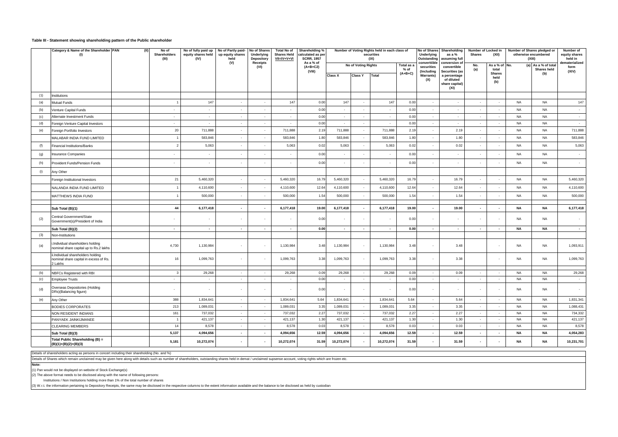#### **Table III - Statement showing shareholding pattern of the Public shareholder**

|            | Category & Name of the Shareholder PAN<br>(1)                                           | No of fully paid up No of Partly paid-<br>equity shares held<br>(IV) | up equity shares<br>held | No of Shares<br>Underlying<br>Depository | <b>Total No of</b><br><b>Shares Held</b><br>VII=IV+V+VI | Shareholding %<br>calculated as per<br><b>SCRR, 1957</b> |                         |                     | Number of Voting Rights held in each class of<br>securities<br>(IX) |                    | <b>Underlying</b><br>Outstanding | No of Shares Shareholding<br>as a %<br>assuming full | Number of Locked in<br>Shares  | (XII)                    |                          | Number of Shares pledged or<br>otherwise encumbered<br>(XIII) | Number of<br>equity shares<br>held in |                  |
|------------|-----------------------------------------------------------------------------------------|----------------------------------------------------------------------|--------------------------|------------------------------------------|---------------------------------------------------------|----------------------------------------------------------|-------------------------|---------------------|---------------------------------------------------------------------|--------------------|----------------------------------|------------------------------------------------------|--------------------------------|--------------------------|--------------------------|---------------------------------------------------------------|---------------------------------------|------------------|
|            |                                                                                         |                                                                      |                          | (V)                                      | <b>Receipts</b><br>(VI)                                 |                                                          | As a % of<br>$(A+B+C2)$ |                     | No of Voting Rights<br>Total as a<br>$%$ of                         |                    | converttible<br>securities       | conversion of<br>convertible                         | No.<br>(a)                     | As a % of<br>total       | No.                      | (a) As a % of total<br><b>Shares held</b>                     | dematerialized<br>form                |                  |
|            |                                                                                         |                                                                      |                          |                                          |                                                         |                                                          | (VIII)                  | <b>Class X</b>      | <b>Class Y</b>                                                      | $(A+B+C)$<br>Total |                                  | (Including<br><b>Warrants)</b>                       | Securities (as<br>a percentage |                          | <b>Shares</b><br>held    |                                                               | (b)                                   | (XIV)            |
|            |                                                                                         |                                                                      |                          |                                          |                                                         |                                                          |                         |                     |                                                                     |                    |                                  | (X)                                                  | of diluted<br>share capital)   |                          | (b)                      |                                                               |                                       |                  |
|            |                                                                                         |                                                                      |                          |                                          |                                                         |                                                          |                         |                     |                                                                     |                    |                                  |                                                      | (XI)                           |                          |                          |                                                               |                                       |                  |
| (1)        | Institutions                                                                            |                                                                      |                          |                                          |                                                         |                                                          |                         |                     |                                                                     |                    |                                  |                                                      |                                |                          |                          |                                                               |                                       |                  |
| (a)        | Mutual Funds                                                                            |                                                                      | 147                      | $\sim$                                   | $\sim$                                                  | 147                                                      | 0.00                    | 147                 | $\sim$                                                              | 147                | 0.00                             | $\sim$                                               | $\sim$                         | $\sim$                   | $\sim$                   | <b>NA</b>                                                     | <b>NA</b>                             | 147              |
| (b)        | Venture Capital Funds                                                                   | $\sim$                                                               | $\sim$                   | $\sim$                                   | $\overline{\phantom{a}}$                                | $\sim$                                                   | 0.00                    | $\sim$              |                                                                     | $\sim$             | 0.00                             | $\sim$                                               | $\sim$                         | $\sim$                   | $\sim$                   | <b>NA</b>                                                     | <b>NA</b>                             | $\sim$           |
| (c)        | Alternate Investment Funds                                                              | $\sim$                                                               | $\sim$                   | $\sim$                                   | $\sim$                                                  | $\sim$                                                   | 0.00                    | $\sim$              | $\sim$                                                              | $\sim$             | 0.00                             | $\sim$                                               | $\sim$                         | $\sim$ $\sim$            | $\sim$                   | <b>NA</b>                                                     | <b>NA</b>                             | $\sim$           |
| (d)        | Foreign Venture Capital Investors                                                       | $\sim$                                                               | $\sim$                   | $\sim$                                   | $\sim$                                                  | $\sim$                                                   | 0.00                    | $\sim$              | $\sim$                                                              | $\sim$             | 0.00                             | $\sim$                                               | $\sim$                         | $\sim$                   | $\sim$                   | <b>NA</b>                                                     | <b>NA</b>                             | $\sim$           |
| (e)        | Foreign Portfolio Investors                                                             | 20                                                                   | 711,888                  | $\sim$                                   | $\sim$                                                  | 711,888                                                  | 2.19                    | 711,888             |                                                                     | 711,888            | 2.19                             | $\sim$                                               | 2.19                           | $\sim$                   | $\sim$                   | <b>NA</b>                                                     | <b>NA</b>                             | 711,888          |
|            | MALABAR INDIA FUND LIMITED                                                              |                                                                      | 583,846                  | $\sim$                                   | $\overline{\phantom{a}}$                                | 583,846                                                  | 1.80                    | 583,846             |                                                                     | 583,846            | 1.80                             | $\sim$                                               | 1.80                           | $\sim$                   | $\sim$                   | <b>NA</b>                                                     | <b>NA</b>                             | 583,846          |
| (f)        | <b>Financial Institutions/Banks</b>                                                     | $\mathcal{P}$                                                        | 5,063                    | $\sim$                                   | $\cdot$                                                 | 5,063                                                    | 0.02                    | 5,063               |                                                                     | 5,063              | 0.02                             | $\cdot$                                              | 0.02                           | $\sim$                   | $\sim$                   | <b>NA</b>                                                     | <b>NA</b>                             | 5,063            |
| (g)        | Insurance Companies                                                                     | $\sim$                                                               | $\sim$                   | $\sim$                                   | $\overline{\phantom{a}}$                                | $\sim$                                                   | 0.00                    | $\sim$              |                                                                     | $\sim$             | 0.00                             | $\sim$                                               | $\overline{\phantom{a}}$       | $\sim$                   |                          | <b>NA</b>                                                     | <b>NA</b>                             | $\sim$           |
| (h)        | Provident Funds/Pension Funds                                                           |                                                                      | $\sim$                   | $\sim$                                   | $\overline{\phantom{a}}$                                |                                                          | 0.00                    | $\bar{\phantom{a}}$ |                                                                     | $\blacksquare$     | 0.00                             | $\sim$                                               | $\sim$                         | $\sim$                   |                          | <b>NA</b>                                                     | <b>NA</b>                             | $\sim$           |
| (i)        | Any Other                                                                               |                                                                      |                          |                                          |                                                         |                                                          |                         |                     |                                                                     |                    |                                  |                                                      |                                |                          |                          |                                                               |                                       |                  |
|            | Foreign Institutional Investors                                                         | 21                                                                   | 5,460,320                | $\sim$                                   | $\sim$                                                  | 5,460,320                                                | 16.79                   | 5,460,320           |                                                                     | 5,460,320          | 16.79                            | $\sim$                                               | 16.79                          | $\sim$                   | $\sim$                   | <b>NA</b>                                                     | <b>NA</b>                             | 5,460,320        |
|            | NALANDA INDIA FUND LIMITED                                                              |                                                                      | 4,110,600                | $\sim$                                   | $\cdot$                                                 | 4,110,600                                                | 12.64                   | 4,110,600           |                                                                     | 4,110,600          | 12.64                            | $\sim$                                               | 12.64                          | $\sim$                   | $\sim$                   | <b>NA</b>                                                     | <b>NA</b>                             | 4,110,600        |
|            | MATTHEWS INDIA FUND                                                                     |                                                                      | 500,000                  | $\sim$                                   | $\sim$                                                  | 500,000                                                  | 1.54                    | 500,000             | $\sim$                                                              | 500,000            | 1.54                             | $\sim$                                               | 1.54                           | $\sim$                   | $\sim$                   | <b>NA</b>                                                     | <b>NA</b>                             | 500,000          |
|            |                                                                                         |                                                                      |                          |                                          |                                                         |                                                          |                         |                     |                                                                     |                    |                                  |                                                      |                                |                          |                          |                                                               |                                       |                  |
|            | Sub Total (B)(1)                                                                        | 44                                                                   | 6,177,418                | $\sim$                                   | $\overline{\phantom{a}}$                                | 6,177,418                                                | 19.00                   | 6,177,418           | $\overline{\phantom{a}}$                                            | 6,177,418          | 19.00                            | $\sim$                                               | 19.00                          | $\sim$                   | $\overline{\phantom{a}}$ | <b>NA</b>                                                     | NA                                    | 6,177,418        |
| (2)        | Central Government/State<br>Government(s)/President of India                            |                                                                      |                          | $\sim$                                   | $\overline{\phantom{a}}$                                |                                                          | 0.00                    | $\sim$              |                                                                     | $\sim$             | 0.00                             | $\sim$                                               | $\overline{\phantom{a}}$       | $\sim$                   |                          | <b>NA</b>                                                     | <b>NA</b>                             |                  |
|            | Sub Total (B)(2)                                                                        | $\sim$                                                               | $\sim$                   | $\sim$                                   | $\sim$                                                  | $\sim$                                                   | 0.00                    | $\sim$              | $\sim$                                                              | $\sim$             | 0.00                             | $\sim$                                               | $\sim$                         | $\sim$                   | $\sim$                   | <b>NA</b>                                                     | <b>NA</b>                             | $\sim$           |
| (3)        | Non-Institutions                                                                        |                                                                      |                          |                                          |                                                         |                                                          |                         |                     |                                                                     |                    |                                  |                                                      |                                |                          |                          |                                                               |                                       |                  |
| (a)        | Individual shareholders holding<br>nominal share capital up to Rs.2 lakhs               | 4,730                                                                | 1,130,984                | $\sim$                                   | $\overline{\phantom{a}}$                                | 1,130,984                                                | 3.48                    | 1,130,984           | $\sim$                                                              | 1,130,984          | 3.48                             | $\sim$                                               | 3.48                           |                          |                          | <b>NA</b>                                                     | <b>NA</b>                             | 1,093,911        |
|            | ii.Individual shareholders holding<br>nominal share capital in excess of Rs.<br>2 Lakhs | 16                                                                   | 1,099,763                | $\sim$                                   | $\sim$                                                  | 1,099,763                                                | 3.38                    | 1,099,763           |                                                                     | 1,099,763          | 3.38                             | ÷.                                                   | 3.38                           |                          |                          | <b>NA</b>                                                     | <b>NA</b>                             | 1,099,763        |
|            |                                                                                         |                                                                      |                          |                                          |                                                         |                                                          |                         |                     |                                                                     |                    |                                  |                                                      |                                |                          |                          |                                                               |                                       |                  |
| (b)<br>(c) | NBFCs Registered with RBI                                                               | $\mathbf{3}$<br>$\sim$                                               | 29,268<br>$\sim$         | $\sim$<br>$\sim$                         | $\sim$<br>$\sim$                                        | 29,268<br>$\sim$                                         | 0.09<br>0.00            | 29,268<br>$\sim$    | $\sim$<br>$\sim$                                                    | 29,268<br>$\sim$   | 0.09<br>0.00                     | $\sim$<br>$\sim$                                     | 0.09<br>$\sim$                 | $\sim$<br>$\sim$         | $\sim$<br>$\sim$         | <b>NA</b><br><b>NA</b>                                        | <b>NA</b><br><b>NA</b>                | 29,268<br>$\sim$ |
|            | <b>Employee Trusts</b>                                                                  |                                                                      |                          |                                          |                                                         |                                                          |                         |                     |                                                                     |                    |                                  |                                                      |                                |                          |                          |                                                               |                                       |                  |
| (d)        | Overseas Depositories (Holding<br>DRs)(Balancing figure)                                |                                                                      | $\overline{\phantom{a}}$ | $\sim$                                   | $\sim$                                                  |                                                          | 0.00                    | $\bar{\phantom{a}}$ |                                                                     | $\omega$           | 0.00                             | $\epsilon$                                           | $\sim$                         | $\sim$                   |                          | <b>NA</b>                                                     | NA                                    | $\sim$           |
| (e)        | Any Other                                                                               | 388                                                                  | 1,834,641                | $\sim$                                   | $\sim$                                                  | 1,834,641                                                | 5.64                    | 1,834,641           |                                                                     | 1,834,641          | 5.64                             | $\sim$                                               | 5.64                           | $\sim$                   | $\sim$                   | <b>NA</b>                                                     | <b>NA</b>                             | 1,831,341        |
|            | <b>BODIES CORPORATES</b>                                                                | 213                                                                  | 1,089,031                | $\sim$                                   | $\sim$                                                  | 1,089,031                                                | 3.35                    | 1,089,031           |                                                                     | 1,089,031          | 3.35                             | $\sim$                                               | 3.35                           | $\sim$                   | $\sim$                   | <b>NA</b>                                                     | <b>NA</b>                             | 1,088,431        |
|            | NON RESIDENT INDIANS                                                                    | 161                                                                  | 737,032                  | $\sim$                                   | $\sim$                                                  | 737,032                                                  | 2.27                    | 737,032             | $\sim$                                                              | 737,032            | 2.27                             | $\sim$                                               | 2.27                           | $\sim$                   | $\sim$                   | <b>NA</b>                                                     | <b>NA</b>                             | 734,332          |
|            | PANYAEK JAINKIJMANEE                                                                    |                                                                      | 421,137                  | $\sim$                                   | $\sim$                                                  | 421,137                                                  | 1.30                    | 421,137             | $\sim$                                                              | 421,137            | 1.30                             | $\sim$                                               | 1.30                           | $\sim$                   | $\sim$                   | <b>NA</b>                                                     | <b>NA</b>                             | 421,137          |
|            | CLEARING MEMBERS                                                                        | 14                                                                   | 8,578                    | $\sim$                                   | $\sim$                                                  | 8,578                                                    | 0.03                    | 8,578               |                                                                     | 8,578              | 0.03                             | $\sim$                                               | 0.03                           | $\sim$                   | $\sim$                   | <b>NA</b>                                                     | <b>NA</b>                             | 8,578            |
|            | Sub Total (B)(3)                                                                        | 5,137                                                                | 4,094,656                | $\sim$                                   | $\overline{\phantom{a}}$                                | 4,094,656                                                | 12.59                   | 4,094,656           |                                                                     | 4,094,656          | 12.59                            | $\sim$                                               | 12.59                          | $\sim$                   | $\sim$                   | <b>NA</b>                                                     | <b>NA</b>                             | 4,054,283        |
|            | Total Public Shareholding (B) =<br>$(B)(1)+(B)(2)+(B)(3)$                               | 5,181                                                                | 10,272,074               | $\sim$                                   | $\overline{\phantom{a}}$                                | 10,272,074                                               | 31.59                   | 10,272,074          |                                                                     | 10,272,074         | 31.59                            | $\blacksquare$                                       | 31.59                          | $\overline{\phantom{a}}$ |                          | <b>NA</b>                                                     | <b>NA</b>                             | 10,231,701       |

Details of sharesholders acting as persons in concert including their shareholding (No. and %)

Details of Shares which remain unclaimed may be given here along with details such as number of shareholders, outstanding shares held in demat / unclaimed supsense account, voting rights which are frozen etc.

**Note:**

(1) Pan would not be displayed on website of Stock Exchange(s)

(2) The above format needs to be disclosed along with the name of following persons:

Institutions / Non Institutions holding more than 1% of the total number of shares

(3) W.r.t. the information pertaining to Depository Receipts, the same may be disclosed in the respective columns to the extent information available and the balance to be disclosed as held by custodian